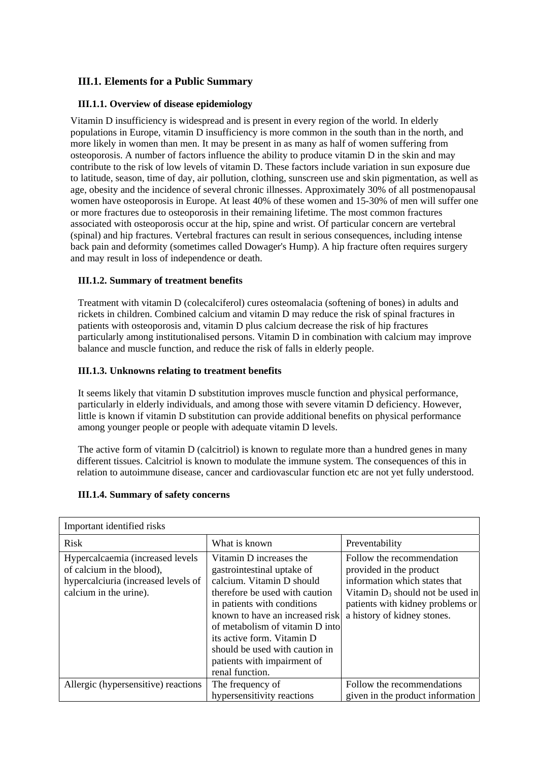# **III.1. Elements for a Public Summary**

## **III.1.1. Overview of disease epidemiology**

Vitamin D insufficiency is widespread and is present in every region of the world. In elderly populations in Europe, vitamin D insufficiency is more common in the south than in the north, and more likely in women than men. It may be present in as many as half of women suffering from osteoporosis. A number of factors influence the ability to produce vitamin D in the skin and may contribute to the risk of low levels of vitamin D. These factors include variation in sun exposure due to latitude, season, time of day, air pollution, clothing, sunscreen use and skin pigmentation, as well as age, obesity and the incidence of several chronic illnesses. Approximately 30% of all postmenopausal women have osteoporosis in Europe. At least 40% of these women and 15-30% of men will suffer one or more fractures due to osteoporosis in their remaining lifetime. The most common fractures associated with osteoporosis occur at the hip, spine and wrist. Of particular concern are vertebral (spinal) and hip fractures. Vertebral fractures can result in serious consequences, including intense back pain and deformity (sometimes called Dowager's Hump). A hip fracture often requires surgery and may result in loss of independence or death.

## **III.1.2. Summary of treatment benefits**

Treatment with vitamin D (colecalciferol) cures osteomalacia (softening of bones) in adults and rickets in children. Combined calcium and vitamin D may reduce the risk of spinal fractures in patients with osteoporosis and, vitamin D plus calcium decrease the risk of hip fractures particularly among institutionalised persons. Vitamin D in combination with calcium may improve balance and muscle function, and reduce the risk of falls in elderly people.

#### **III.1.3. Unknowns relating to treatment benefits**

It seems likely that vitamin D substitution improves muscle function and physical performance, particularly in elderly individuals, and among those with severe vitamin D deficiency. However, little is known if vitamin D substitution can provide additional benefits on physical performance among younger people or people with adequate vitamin D levels.

The active form of vitamin D (calcitriol) is known to regulate more than a hundred genes in many different tissues. Calcitriol is known to modulate the immune system. The consequences of this in relation to autoimmune disease, cancer and cardiovascular function etc are not yet fully understood.

| Important identified risks                                                                                                     |                                                                                                                                                                                                                                                                                                                                             |                                                                                                                                                                                                 |  |  |  |
|--------------------------------------------------------------------------------------------------------------------------------|---------------------------------------------------------------------------------------------------------------------------------------------------------------------------------------------------------------------------------------------------------------------------------------------------------------------------------------------|-------------------------------------------------------------------------------------------------------------------------------------------------------------------------------------------------|--|--|--|
| <b>Risk</b>                                                                                                                    | What is known                                                                                                                                                                                                                                                                                                                               | Preventability                                                                                                                                                                                  |  |  |  |
| Hypercalcaemia (increased levels<br>of calcium in the blood),<br>hypercalciuria (increased levels of<br>calcium in the urine). | Vitamin D increases the<br>gastrointestinal uptake of<br>calcium. Vitamin D should<br>therefore be used with caution<br>in patients with conditions<br>known to have an increased risk<br>of metabolism of vitamin D into<br>its active form. Vitamin D<br>should be used with caution in<br>patients with impairment of<br>renal function. | Follow the recommendation<br>provided in the product<br>information which states that<br>Vitamin $D_3$ should not be used in<br>patients with kidney problems or<br>a history of kidney stones. |  |  |  |
| Allergic (hypersensitive) reactions                                                                                            | The frequency of<br>hypersensitivity reactions                                                                                                                                                                                                                                                                                              | Follow the recommendations<br>given in the product information                                                                                                                                  |  |  |  |

#### **III.1.4. Summary of safety concerns**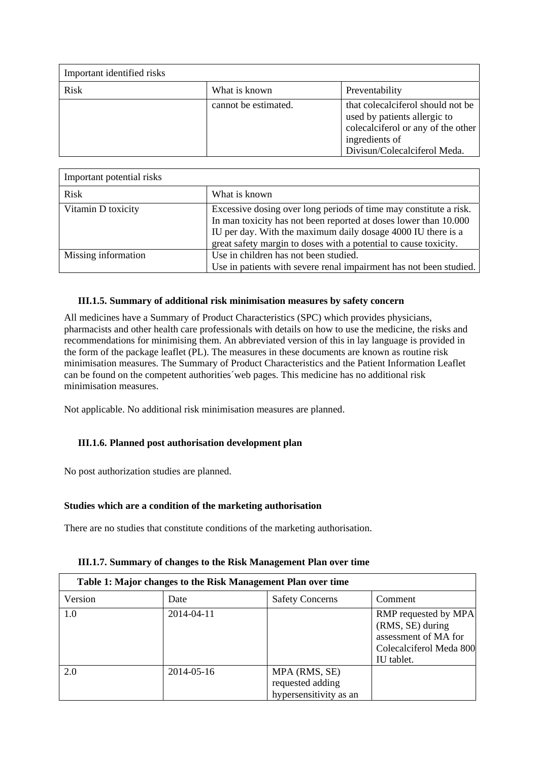| Important identified risks |                      |                                                                                                                                                            |
|----------------------------|----------------------|------------------------------------------------------------------------------------------------------------------------------------------------------------|
| Risk                       | What is known        | Preventability                                                                                                                                             |
|                            | cannot be estimated. | that colecal if erol should not be<br>used by patients allergic to<br>colecalciferol or any of the other<br>ingredients of<br>Divisun/Colecalciferol Meda. |

| Important potential risks |                                                                                                                                                                                                                                                                           |
|---------------------------|---------------------------------------------------------------------------------------------------------------------------------------------------------------------------------------------------------------------------------------------------------------------------|
| Risk                      | What is known                                                                                                                                                                                                                                                             |
| Vitamin D toxicity        | Excessive dosing over long periods of time may constitute a risk.<br>In man toxicity has not been reported at doses lower than 10.000<br>IU per day. With the maximum daily dosage 4000 IU there is a<br>great safety margin to doses with a potential to cause toxicity. |
| Missing information       | Use in children has not been studied.<br>Use in patients with severe renal impairment has not been studied.                                                                                                                                                               |

## **III.1.5. Summary of additional risk minimisation measures by safety concern**

All medicines have a Summary of Product Characteristics (SPC) which provides physicians, pharmacists and other health care professionals with details on how to use the medicine, the risks and recommendations for minimising them. An abbreviated version of this in lay language is provided in the form of the package leaflet (PL). The measures in these documents are known as routine risk minimisation measures. The Summary of Product Characteristics and the Patient Information Leaflet can be found on the competent authorities´web pages. This medicine has no additional risk minimisation measures.

Not applicable. No additional risk minimisation measures are planned.

## **III.1.6. Planned post authorisation development plan**

No post authorization studies are planned.

#### **Studies which are a condition of the marketing authorisation**

There are no studies that constitute conditions of the marketing authorisation.

| Table 1: Major changes to the Risk Management Plan over time |            |                                                             |                                                                                                           |  |
|--------------------------------------------------------------|------------|-------------------------------------------------------------|-----------------------------------------------------------------------------------------------------------|--|
| Version                                                      | Date       | <b>Safety Concerns</b>                                      | Comment                                                                                                   |  |
| 1.0                                                          | 2014-04-11 |                                                             | RMP requested by MPA<br>(RMS, SE) during<br>assessment of MA for<br>Colecalciferol Meda 800<br>IU tablet. |  |
| 2.0                                                          | 2014-05-16 | MPA (RMS, SE)<br>requested adding<br>hypersensitivity as an |                                                                                                           |  |

## **III.1.7. Summary of changes to the Risk Management Plan over time**